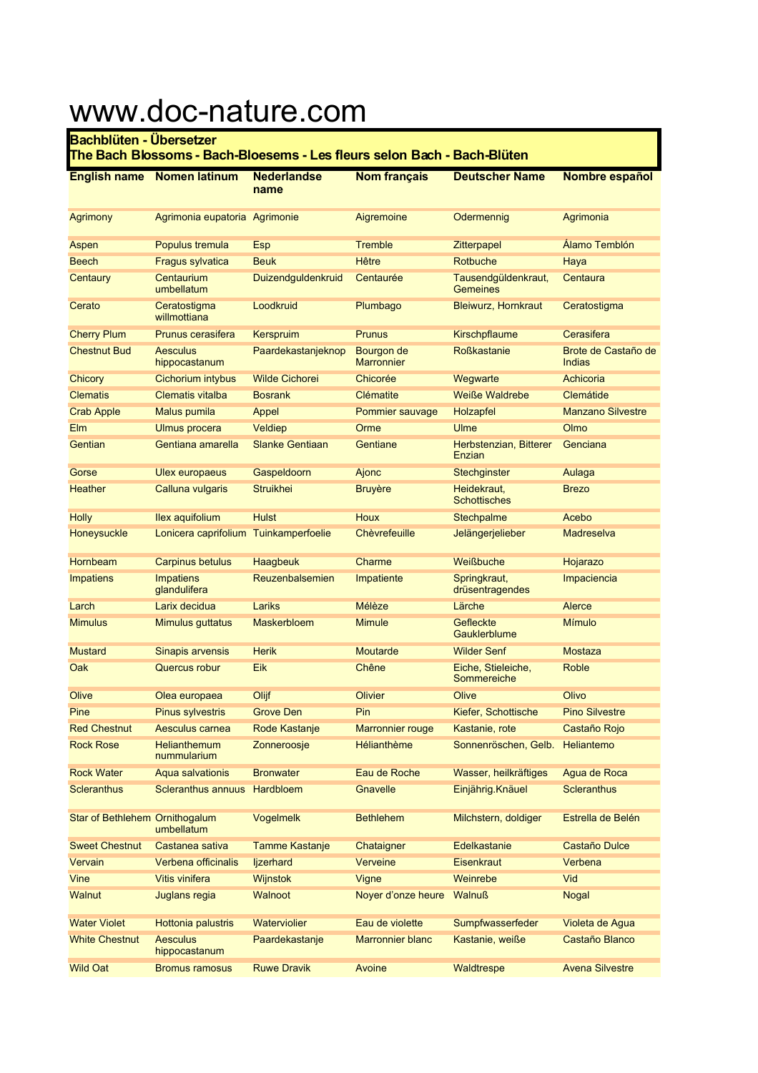## www.doc-nature.com

## **Bachblüten - Übersetzer**

## **The Bach Blossoms - Bach-Bloesems - Les fleurs selon Bach - Bach-Blüten**

| <b>English name</b>            | <b>Nomen latinum</b>               | <b>Nederlandse</b><br>name | <b>Nom français</b>             | <b>Deutscher Name</b>                  | Nombre español                |
|--------------------------------|------------------------------------|----------------------------|---------------------------------|----------------------------------------|-------------------------------|
| <b>Agrimony</b>                | Agrimonia eupatoria Agrimonie      |                            | Aigremoine                      | Odermennig                             | Agrimonia                     |
| Aspen                          | Populus tremula                    | <b>Esp</b>                 | <b>Tremble</b>                  | Zitterpapel                            | Alamo Temblón                 |
| <b>Beech</b>                   | Fragus sylvatica                   | <b>Beuk</b>                | <b>Hêtre</b>                    | Rotbuche                               | Haya                          |
| Centaury                       | Centaurium<br>umbellatum           | Duizendguldenkruid         | Centaurée                       | Tausendgüldenkraut,<br><b>Gemeines</b> | Centaura                      |
| Cerato                         | Ceratostigma<br>willmottiana       | Loodkruid                  | Plumbago                        | <b>Bleiwurz, Hornkraut</b>             | Ceratostigma                  |
| <b>Cherry Plum</b>             | Prunus cerasifera                  | <b>Kerspruim</b>           | <b>Prunus</b>                   | <b>Kirschpflaume</b>                   | Cerasifera                    |
| <b>Chestnut Bud</b>            | <b>Aesculus</b><br>hippocastanum   | Paardekastanjeknop         | Bourgon de<br><b>Marronnier</b> | <b>Roßkastanie</b>                     | Brote de Castaño de<br>Indias |
| Chicory                        | Cichorium intybus                  | <b>Wilde Cichorei</b>      | Chicorée                        | Wegwarte                               | Achicoria                     |
| <b>Clematis</b>                | <b>Clematis vitalba</b>            | <b>Bosrank</b>             | Clématite                       | <b>Weiße Waldrebe</b>                  | Clemátide                     |
| <b>Crab Apple</b>              | Malus pumila                       | Appel                      | Pommier sauvage                 | Holzapfel                              | <b>Manzano Silvestre</b>      |
| Elm                            | <b>Ulmus</b> procera               | Veldiep                    | Orme                            | Ulme                                   | Olmo                          |
| Gentian                        | Gentiana amarella                  | <b>Slanke Gentiaan</b>     | Gentiane                        | Herbstenzian, Bitterer<br>Enzian       | Genciana                      |
| Gorse                          | <b>Ulex europaeus</b>              | Gaspeldoorn                | Ajonc                           | Stechginster                           | Aulaga                        |
| <b>Heather</b>                 | Calluna vulgaris                   | <b>Struikhei</b>           | <b>Bruyère</b>                  | Heidekraut,<br><b>Schottisches</b>     | <b>Brezo</b>                  |
| <b>Holly</b>                   | <b>Ilex aquifolium</b>             | <b>Hulst</b>               | <b>Houx</b>                     | Stechpalme                             | Acebo                         |
| Honeysuckle                    | Lonicera caprifolium               | Tuinkamperfoelie           | Chèvrefeuille                   | Jelängerjelieber                       | Madreselva                    |
| Hornbeam                       | <b>Carpinus betulus</b>            | Haagbeuk                   | Charme                          | Weißbuche                              | Hojarazo                      |
| <b>Impatiens</b>               | <b>Impatiens</b><br>glandulifera   | Reuzenbalsemien            | Impatiente                      | Springkraut,<br>drüsentragendes        | Impaciencia                   |
| Larch                          | Larix decidua                      | Lariks                     | Mélèze                          | Lärche                                 | Alerce                        |
| <b>Mimulus</b>                 | Mimulus guttatus                   | Maskerbloem                | <b>Mimule</b>                   | Gefleckte<br>Gauklerblume              | <b>Mímulo</b>                 |
| <b>Mustard</b>                 | Sinapis arvensis                   | <b>Herik</b>               | Moutarde                        | <b>Wilder Senf</b>                     | <b>Mostaza</b>                |
| Oak                            | Quercus robur                      | Eik                        | Chêne                           | Eiche, Stieleiche,<br>Sommereiche      | <b>Roble</b>                  |
| Olive                          | Olea europaea                      | Olijf                      | Olivier                         | Olive                                  | Olivo                         |
| Pine                           | <b>Pinus sylvestris</b>            | <b>Grove Den</b>           | Pin                             | Kiefer, Schottische                    | <b>Pino Silvestre</b>         |
| <b>Red Chestnut</b>            | Aesculus carnea                    | Rode Kastanje              | <b>Marronnier rouge</b>         | Kastanie, rote                         | Castaño Rojo                  |
| <b>Rock Rose</b>               | <b>Helianthemum</b><br>nummularium | Zonneroosje                | Hélianthème                     | Sonnenröschen, Gelb. Heliantemo        |                               |
| <b>Rock Water</b>              | Aqua salvationis                   | <b>Bronwater</b>           | Eau de Roche                    | Wasser, heilkräftiges                  | Agua de Roca                  |
| <b>Scleranthus</b>             | Scleranthus annuus                 | Hardbloem                  | Gnavelle                        | Einjährig. Knäuel                      | <b>Scleranthus</b>            |
| Star of Bethlehem Ornithogalum | umbellatum                         | Vogelmelk                  | <b>Bethlehem</b>                | Milchstern, doldiger                   | Estrella de Belén             |
| <b>Sweet Chestnut</b>          | Castanea sativa                    | <b>Tamme Kastanje</b>      | Chataigner                      | Edelkastanie                           | Castaño Dulce                 |
| Vervain                        | Verbena officinalis                | ljzerhard                  | Verveine                        | Eisenkraut                             | Verbena                       |
| Vine                           | Vitis vinifera                     | Wijnstok                   | Vigne                           | Weinrebe                               | Vid                           |
| <b>Walnut</b>                  | Juglans regia                      | Walnoot                    | Noyer d'onze heure              | <b>Walnuß</b>                          | <b>Nogal</b>                  |
| <b>Water Violet</b>            | Hottonia palustris                 | Waterviolier               | Eau de violette                 | Sumpfwasserfeder                       | Violeta de Agua               |
| <b>White Chestnut</b>          | <b>Aesculus</b><br>hippocastanum   | Paardekastanje             | <b>Marronnier blanc</b>         | Kastanie, weiße                        | Castaño Blanco                |
| <b>Wild Oat</b>                | <b>Bromus ramosus</b>              | <b>Ruwe Dravik</b>         | Avoine                          | Waldtrespe                             | <b>Avena Silvestre</b>        |